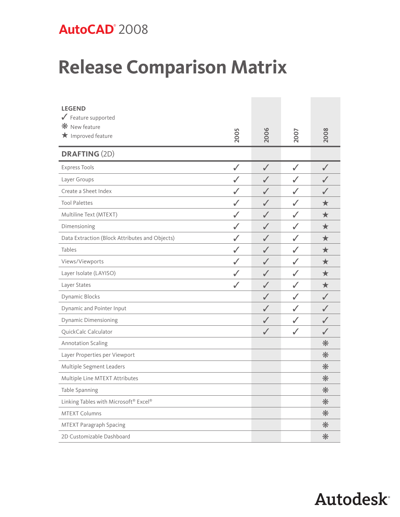## **AutoCAD**® 2008

## **Release Comparison Matrix**

| <b>LEGEND</b><br>Feature supported<br>* New feature<br>$\star$ Improved feature | 2005         | 2006         | 2007         | 2008      |
|---------------------------------------------------------------------------------|--------------|--------------|--------------|-----------|
| <b>DRAFTING (2D)</b>                                                            |              |              |              |           |
| <b>Express Tools</b>                                                            | ✓            | $\checkmark$ | $\checkmark$ | ✓         |
| Layer Groups                                                                    | $\checkmark$ | $\checkmark$ | $\checkmark$ |           |
| Create a Sheet Index                                                            | ✓            | ✓            | $\checkmark$ |           |
| <b>Tool Palettes</b>                                                            | $\checkmark$ | $\checkmark$ | $\checkmark$ | ★         |
| Multiline Text (MTEXT)                                                          | ✓            | J            | $\checkmark$ | ★         |
| Dimensioning                                                                    | ✓            | $\checkmark$ | $\checkmark$ | ★         |
| Data Extraction (Block Attributes and Objects)                                  | $\checkmark$ | J            | $\checkmark$ | ★         |
| Tables                                                                          | ✓            | ✓            | ✓            | ★         |
| Views/Viewports                                                                 | $\checkmark$ | ✓            | $\checkmark$ | ★         |
| Layer Isolate (LAYISO)                                                          | $\checkmark$ | $\checkmark$ | $\checkmark$ | ★         |
| Layer States                                                                    | $\checkmark$ | $\checkmark$ | $\checkmark$ | ★         |
| Dynamic Blocks                                                                  |              | ✓            | $\checkmark$ | $\sqrt{}$ |
| Dynamic and Pointer Input                                                       |              | $\checkmark$ | $\checkmark$ | ✓         |
| <b>Dynamic Dimensioning</b>                                                     |              | $\checkmark$ | ✓            |           |
| QuickCalc Calculator                                                            |              | $\checkmark$ | $\checkmark$ | ✓         |
| <b>Annotation Scaling</b>                                                       |              |              |              | $*$       |
| Layer Properties per Viewport                                                   |              |              |              | $*$       |
| Multiple Segment Leaders                                                        |              |              |              | $*$       |
| Multiple Line MTEXT Attributes                                                  |              |              |              | $*$       |
| Table Spanning                                                                  |              |              |              | $*$       |
| Linking Tables with Microsoft® Excel®                                           |              |              |              | $*$       |
| <b>MTEXT Columns</b>                                                            |              |              |              | $*$       |
| MTEXT Paragraph Spacing                                                         |              |              |              | $*$       |
| 2D Customizable Dashboard                                                       |              |              |              | $*$       |

## **Autodesk**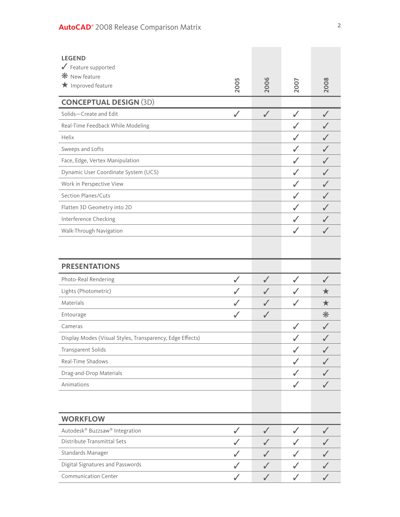| <b>LEGEND</b><br>Feature supported<br><b><math>*</math></b> New feature<br>$\bigstar$ Improved feature | 2005         | 2006         | 2007         | 2008         |
|--------------------------------------------------------------------------------------------------------|--------------|--------------|--------------|--------------|
| <b>CONCEPTUAL DESIGN (3D)</b>                                                                          |              |              |              |              |
| Solids-Create and Edit                                                                                 | $\checkmark$ | $\checkmark$ | $\checkmark$ | $\checkmark$ |
| Real-Time Feedback While Modeling                                                                      |              |              | ✓            |              |
| Helix                                                                                                  |              |              | $\checkmark$ |              |
| Sweeps and Lofts                                                                                       |              |              | ✓            |              |
| Face, Edge, Vertex Manipulation                                                                        |              |              | $\checkmark$ |              |
| Dynamic User Coordinate System (UCS)                                                                   |              |              | ✓            |              |
| Work in Perspective View                                                                               |              |              | ✓            | ✓            |
| Section Planes/Cuts                                                                                    |              |              | ✓            |              |
| Flatten 3D Geometry into 2D                                                                            |              |              | ✓            | ✓            |
| Interference Checking                                                                                  |              |              | $\checkmark$ |              |
| Walk-Through Navigation                                                                                |              |              | $\checkmark$ |              |
|                                                                                                        |              |              |              |              |
| <b>PRESENTATIONS</b>                                                                                   |              |              |              |              |
| Photo-Real Rendering                                                                                   | $\checkmark$ | $\checkmark$ | $\checkmark$ | $\checkmark$ |
| Lights (Photometric)                                                                                   | $\checkmark$ | $\checkmark$ | $\checkmark$ | ★            |
| Materials                                                                                              |              | $\checkmark$ | $\checkmark$ | ★            |
| Entourage                                                                                              | $\checkmark$ | $\checkmark$ |              | $*$          |
| Cameras                                                                                                |              |              | $\checkmark$ | ✓            |
| Display Modes (Visual Styles, Transparency, Edge Effects)                                              |              |              |              | $\sqrt{2}$   |
| <b>Transparent Solids</b>                                                                              |              |              | $\checkmark$ |              |
| Real-Time Shadows                                                                                      |              |              | ✓            |              |
| Drag-and-Drop Materials                                                                                |              |              | ✓            |              |
| Animations                                                                                             |              |              | $\checkmark$ |              |
|                                                                                                        |              |              |              |              |
| <b>WORKFLOW</b>                                                                                        |              |              |              |              |
| Autodesk® Buzzsaw® Integration                                                                         | $\checkmark$ | $\checkmark$ | $\checkmark$ |              |
| Distribute Transmittal Sets                                                                            |              |              |              |              |
| Standards Manager                                                                                      |              |              |              |              |
| Digital Signatures and Passwords                                                                       |              |              |              |              |
| <b>Communication Center</b>                                                                            |              | $\checkmark$ | ✓            |              |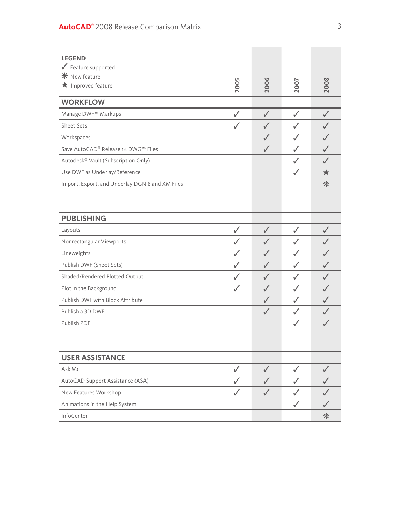| <b>LEGEND</b><br>$\sqrt{\ }$ Feature supported<br>* New feature<br>$\bigstar$ Improved feature | 2005         | 2006         | 2007         | 2008         |
|------------------------------------------------------------------------------------------------|--------------|--------------|--------------|--------------|
| <b>WORKFLOW</b>                                                                                |              |              |              |              |
| Manage DWF™ Markups                                                                            | $\checkmark$ | $\checkmark$ | $\checkmark$ | $\checkmark$ |
| Sheet Sets                                                                                     | $\checkmark$ | J            | ✓            |              |
| Workspaces                                                                                     |              | $\checkmark$ | $\checkmark$ | J            |
| Save AutoCAD® Release 14 DWG™ Files                                                            |              | $\checkmark$ | $\checkmark$ | J            |
| Autodesk® Vault (Subscription Only)                                                            |              |              | $\checkmark$ | $\sqrt{}$    |
| Use DWF as Underlay/Reference                                                                  |              |              | $\checkmark$ | ★            |
| Import, Export, and Underlay DGN 8 and XM Files                                                |              |              |              | $*$          |
|                                                                                                |              |              |              |              |
| <b>PUBLISHING</b>                                                                              |              |              |              |              |
| Layouts                                                                                        | $\checkmark$ | $\checkmark$ | $\checkmark$ | ✓            |
| Nonrectangular Viewports                                                                       |              | J            | $\checkmark$ |              |
| Lineweights                                                                                    |              | $\checkmark$ | $\checkmark$ |              |
| Publish DWF (Sheet Sets)                                                                       |              | $\checkmark$ | $\checkmark$ |              |
| Shaded/Rendered Plotted Output                                                                 |              | J            | $\checkmark$ |              |
| Plot in the Background                                                                         |              |              | $\checkmark$ |              |
| Publish DWF with Block Attribute                                                               |              |              | $\checkmark$ |              |
| Publish a 3D DWF                                                                               |              |              |              |              |
| Publish PDF                                                                                    |              |              | $\checkmark$ |              |
|                                                                                                |              |              |              |              |
| <b>USER ASSISTANCE</b>                                                                         |              |              |              |              |
| Ask Me                                                                                         | $\checkmark$ | $\checkmark$ | $\checkmark$ | $\checkmark$ |
| AutoCAD Support Assistance (ASA)                                                               |              |              | ✓            |              |
| New Features Workshop                                                                          | $\checkmark$ | $\checkmark$ | $\checkmark$ |              |
| Animations in the Help System                                                                  |              |              | $\checkmark$ |              |
| InfoCenter                                                                                     |              |              |              | $*$          |